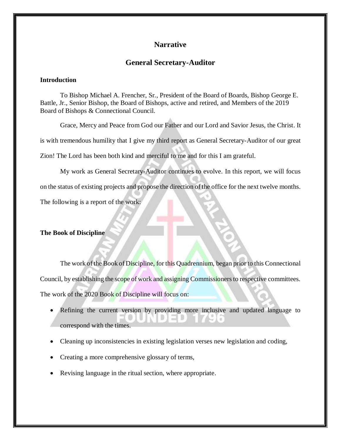## **Narrative**

## **General Secretary-Auditor**

## **Introduction**

To Bishop Michael A. Frencher, Sr., President of the Board of Boards, Bishop George E. Battle, Jr., Senior Bishop, the Board of Bishops, active and retired, and Members of the 2019 Board of Bishops & Connectional Council.

Grace, Mercy and Peace from God our Father and our Lord and Savior Jesus, the Christ. It is with tremendous humility that I give my third report as General Secretary-Auditor of our great Zion! The Lord has been both kind and merciful to me and for this I am grateful.

My work as General Secretary-Auditor continues to evolve. In this report, we will focus on the status of existing projects and propose the direction of the office for the next twelve months.

The following is a report of the work:

## **The Book of Discipline**

The work of the Book of Discipline, for this Quadrennium, began prior to this Connectional Council, by establishing the scope of work and assigning Commissioners to respective committees. The work of the 2020 Book of Discipline will focus on:

- Refining the current version by providing more inclusive and updated language to correspond with the times.
- Cleaning up inconsistencies in existing legislation verses new legislation and coding,
- Creating a more comprehensive glossary of terms,
- Revising language in the ritual section, where appropriate.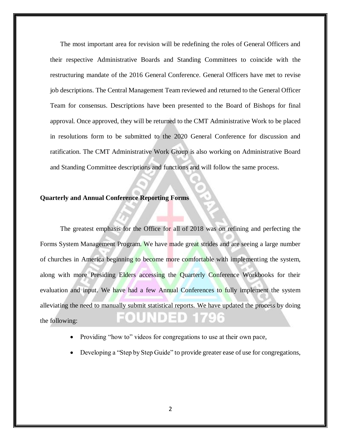The most important area for revision will be redefining the roles of General Officers and their respective Administrative Boards and Standing Committees to coincide with the restructuring mandate of the 2016 General Conference. General Officers have met to revise job descriptions. The Central Management Team reviewed and returned to the General Officer Team for consensus. Descriptions have been presented to the Board of Bishops for final approval. Once approved, they will be returned to the CMT Administrative Work to be placed in resolutions form to be submitted to the 2020 General Conference for discussion and ratification. The CMT Administrative Work Group is also working on Administrative Board and Standing Committee descriptions and functions and will follow the same process.

### **Quarterly and Annual Conference Reporting Forms**

The greatest emphasis for the Office for all of 2018 was on refining and perfecting the Forms System Management Program. We have made great strides and are seeing a large number of churches in America beginning to become more comfortable with implementing the system, along with more Presiding Elders accessing the Quarterly Conference Workbooks for their evaluation and input. We have had a few Annual Conferences to fully implement the system alleviating the need to manually submit statistical reports. We have updated the process by doing the following:

- Providing "how to" videos for congregations to use at their own pace,
- Developing a "Step by Step Guide" to provide greater ease of use for congregations,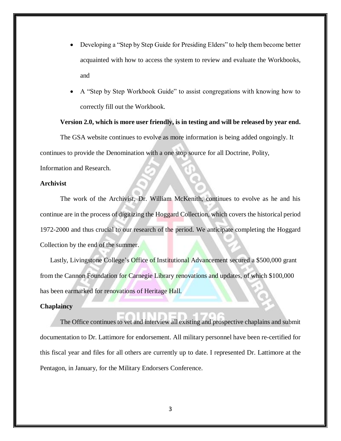- Developing a "Step by Step Guide for Presiding Elders" to help them become better acquainted with how to access the system to review and evaluate the Workbooks, and
- A "Step by Step Workbook Guide" to assist congregations with knowing how to correctly fill out the Workbook.

# **Version 2.0, which is more user friendly, is in testing and will be released by year end.**

The GSA website continues to evolve as more information is being added ongoingly. It

continues to provide the Denomination with a one stop source for all Doctrine, Polity,

Information and Research.

## **Archivist**

The work of the Archivist, Dr. William McKenith, continues to evolve as he and his continue are in the process of digitizing the Hoggard Collection, which covers the historical period 1972-2000 and thus crucial to our research of the period. We anticipate completing the Hoggard Collection by the end of the summer.

Lastly, Livingstone College's Office of Institutional Advancement secured a \$500,000 grant from the Cannon Foundation for Carnegie Library renovations and updates, of which \$100,000 has been earmarked for renovations of Heritage Hall.

### **Chaplaincy**

The Office continues to vet and interview all existing and prospective chaplains and submit documentation to Dr. Lattimore for endorsement. All military personnel have been re-certified for this fiscal year and files for all others are currently up to date. I represented Dr. Lattimore at the Pentagon, in January, for the Military Endorsers Conference.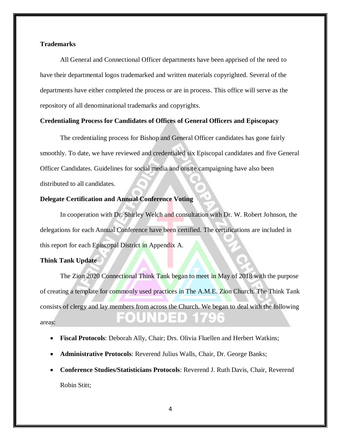## **Trademarks**

All General and Connectional Officer departments have been apprised of the need to have their departmental logos trademarked and written materials copyrighted. Several of the departments have either completed the process or are in process. This office will serve as the repository of all denominational trademarks and copyrights.

### **Credentialing Process for Candidates of Offices of General Officers and Episcopacy**

The credentialing process for Bishop and General Officer candidates has gone fairly smoothly. To date, we have reviewed and credentialed six Episcopal candidates and five General Officer Candidates. Guidelines for social media and onsite campaigning have also been distributed to all candidates.

## **Delegate Certification and Annual Conference Voting**

In cooperation with Dr. Shirley Welch and consultation with Dr. W. Robert Johnson, the delegations for each Annual Conference have been certified. The certifications are included in this report for each Episcopal District in Appendix A.

### **Think Tank Update**

The Zion 2020 Connectional Think Tank began to meet in May of 2018 with the purpose of creating a template for commonly used practices in The A.M.E. Zion Church. The Think Tank consists of clergy and lay members from across the Church. We began to deal with the following areas:

- **Fiscal Protocols**: Deborah Ally, Chair; Drs. Olivia Fluellen and Herbert Watkins;
- **Administrative Protocols**: Reverend Julius Walls, Chair, Dr. George Banks;
- **Conference Studies/Statisticians Protocols**: Reverend J. Ruth Davis, Chair, Reverend Robin Stitt;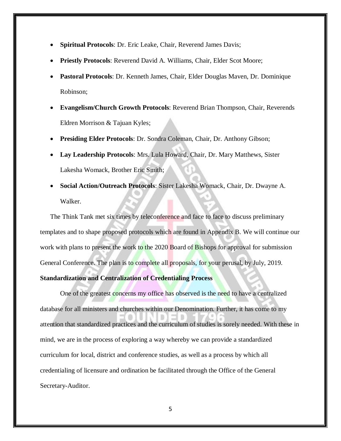- **Spiritual Protocols**: Dr. Eric Leake, Chair, Reverend James Davis;
- **Priestly Protocols**: Reverend David A. Williams, Chair, Elder Scot Moore;
- **Pastoral Protocols**: Dr. Kenneth James, Chair, Elder Douglas Maven, Dr. Dominique Robinson;
- **Evangelism/Church Growth Protocols**: Reverend Brian Thompson, Chair, Reverends Eldren Morrison & Tajuan Kyles;
- **Presiding Elder Protocols**: Dr. Sondra Coleman, Chair, Dr. Anthony Gibson;
- **Lay Leadership Protocols**: Mrs. Lula Howard, Chair, Dr. Mary Matthews, Sister Lakesha Womack, Brother Eric Smith;
- **Social Action/Outreach Protocols**: Sister Lakesha Womack, Chair, Dr. Dwayne A. Walker.

The Think Tank met six times by teleconference and face to face to discuss preliminary templates and to shape proposed protocols which are found in Appendix B. We will continue our work with plans to present the work to the 2020 Board of Bishops for approval for submission General Conference. The plan is to complete all proposals, for your perusal, by July, 2019.

#### **Standardization and Centralization of Credentialing Process**

One of the greatest concerns my office has observed is the need to have a centralized database for all ministers and churches within our Denomination. Further, it has come to my attention that standardized practices and the curriculum of studies is sorely needed. With these in mind, we are in the process of exploring a way whereby we can provide a standardized curriculum for local, district and conference studies, as well as a process by which all credentialing of licensure and ordination be facilitated through the Office of the General Secretary-Auditor.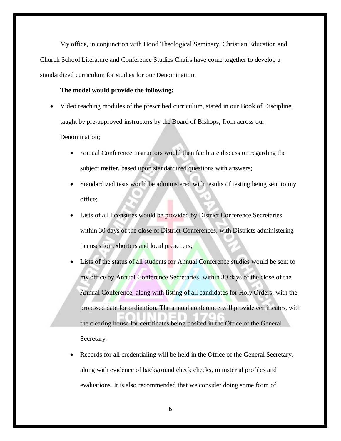My office, in conjunction with Hood Theological Seminary, Christian Education and Church School Literature and Conference Studies Chairs have come together to develop a standardized curriculum for studies for our Denomination.

### **The model would provide the following:**

- Video teaching modules of the prescribed curriculum, stated in our Book of Discipline, taught by pre-approved instructors by the Board of Bishops, from across our Denomination;
	- Annual Conference Instructors would then facilitate discussion regarding the subject matter, based upon standardized questions with answers;
	- Standardized tests would be administered with results of testing being sent to my office;
	- Lists of all licensures would be provided by District Conference Secretaries within 30 days of the close of District Conferences, with Districts administering licenses for exhorters and local preachers;
	- Lists of the status of all students for Annual Conference studies would be sent to my office by Annual Conference Secretaries, within 30 days of the close of the Annual Conference, along with listing of all candidates for Holy Orders, with the proposed date for ordination. The annual conference will provide certificates, with the clearing house for certificates being posited in the Office of the General Secretary.
	- Records for all credentialing will be held in the Office of the General Secretary, along with evidence of background check checks, ministerial profiles and evaluations. It is also recommended that we consider doing some form of